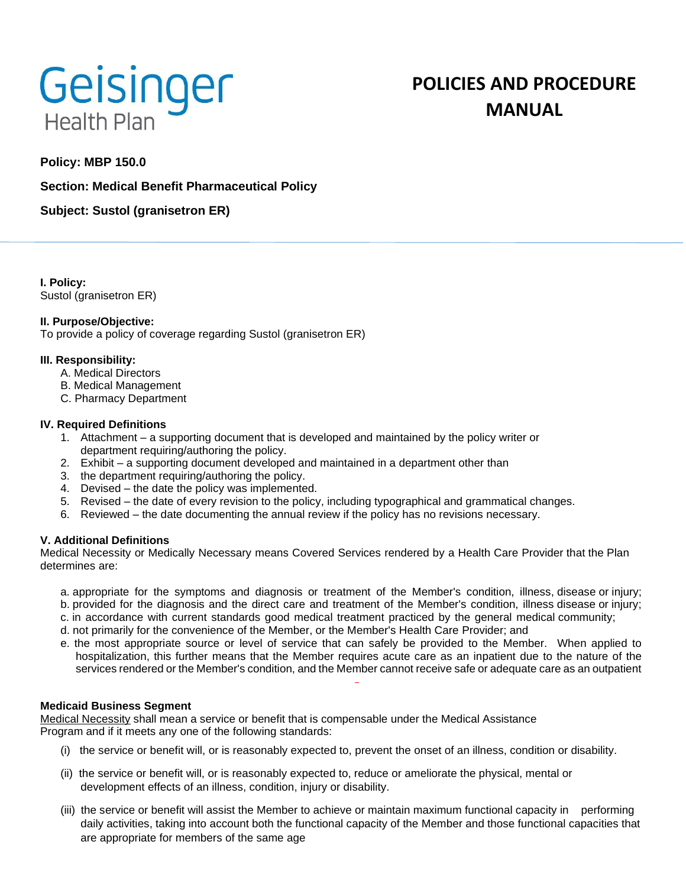

# **POLICIES AND PROCEDURE MANUAL**

# **Policy: MBP 150.0**

## **Section: Medical Benefit Pharmaceutical Policy**

**Subject: Sustol (granisetron ER)**

**I. Policy:** Sustol (granisetron ER)

#### **II. Purpose/Objective:**

To provide a policy of coverage regarding Sustol (granisetron ER)

#### **III. Responsibility:**

- A. Medical Directors
- B. Medical Management
- C. Pharmacy Department

#### **IV. Required Definitions**

- 1. Attachment a supporting document that is developed and maintained by the policy writer or department requiring/authoring the policy.
- 2. Exhibit a supporting document developed and maintained in a department other than
- 3. the department requiring/authoring the policy.
- 4. Devised the date the policy was implemented.
- 5. Revised the date of every revision to the policy, including typographical and grammatical changes.
- 6. Reviewed the date documenting the annual review if the policy has no revisions necessary.

### **V. Additional Definitions**

Medical Necessity or Medically Necessary means Covered Services rendered by a Health Care Provider that the Plan determines are:

- a. appropriate for the symptoms and diagnosis or treatment of the Member's condition, illness, disease or injury;
- b. provided for the diagnosis and the direct care and treatment of the Member's condition, illness disease or injury;
- c. in accordance with current standards good medical treatment practiced by the general medical community;
- d. not primarily for the convenience of the Member, or the Member's Health Care Provider; and
- e. the most appropriate source or level of service that can safely be provided to the Member. When applied to hospitalization, this further means that the Member requires acute care as an inpatient due to the nature of the services rendered or the Member's condition, and the Member cannot receive safe or adequate care as an outpatient

### **Medicaid Business Segment**

Medical Necessity shall mean a service or benefit that is compensable under the Medical Assistance Program and if it meets any one of the following standards:

- (i) the service or benefit will, or is reasonably expected to, prevent the onset of an illness, condition or disability.
- (ii) the service or benefit will, or is reasonably expected to, reduce or ameliorate the physical, mental or development effects of an illness, condition, injury or disability.
- (iii) the service or benefit will assist the Member to achieve or maintain maximum functional capacity in performing daily activities, taking into account both the functional capacity of the Member and those functional capacities that are appropriate for members of the same age